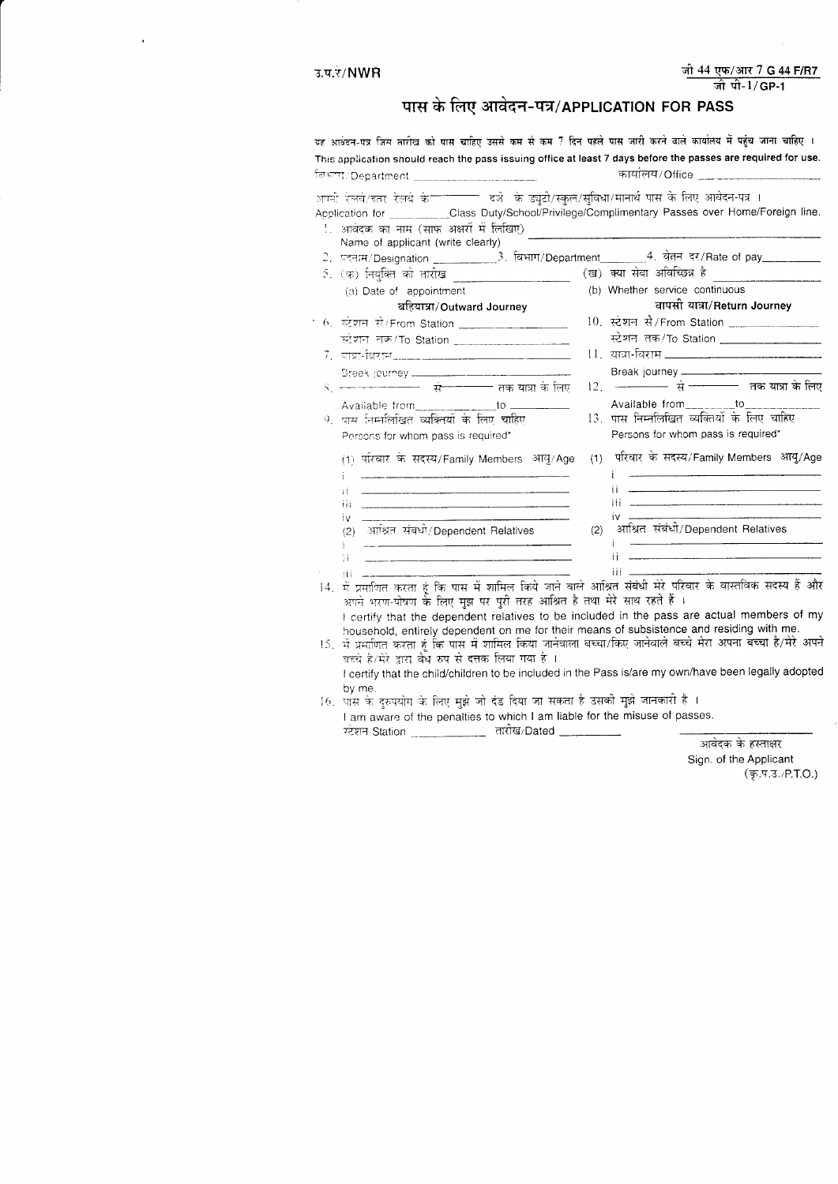## पास के लिए आवेदन-पत्र/APPLICATION FOR PASS

| यह आवंदन-पत्र जिस तारीख को पास चाहिए उससे कम से कम 7 दिन पहले पास जारी करने वाले कार्यालय में पहुंच जाना चाहिए ।                                                                                                                                          |                                                                                                                                                                                                                    |
|-----------------------------------------------------------------------------------------------------------------------------------------------------------------------------------------------------------------------------------------------------------|--------------------------------------------------------------------------------------------------------------------------------------------------------------------------------------------------------------------|
| This application should reach the pass issuing office at least 7 days before the passes are required for use.                                                                                                                                             |                                                                                                                                                                                                                    |
| विभाग/Department _______________________                                                                                                                                                                                                                  | कार्यालय/Office ___________                                                                                                                                                                                        |
| .<br>अणनी रेलवे/इतर रेलवे के <sup>—————</sup> दर्जे  के ड्युटी/स्कुल/सुविधा/मानार्थ पास के लिए आवेदन-पत्र ।<br>Application for __________Class Duty/School/Privilege/Complimentary Passes over Home/Foreign line.<br>आवंदक का नाम (साफ अक्षरों में लिखिए) |                                                                                                                                                                                                                    |
| Name of applicant (write clearly)<br>2. पदनाम/Designation _____________3. विभाग/Department ________4. वेतन दर/Rate of pay__________                                                                                                                       |                                                                                                                                                                                                                    |
| 5. (क) नियुक्ति को तारोख _______________________                                                                                                                                                                                                          | (ख) क्या सेवा अविच्छिन्न है                                                                                                                                                                                        |
| (a) Date of appointment                                                                                                                                                                                                                                   | (b) Whether service continuous                                                                                                                                                                                     |
| बहियात्रा/Outward Journey                                                                                                                                                                                                                                 | वापसी यात्रा/Return Journey                                                                                                                                                                                        |
| 6. स्टेशन से/From Station _________________                                                                                                                                                                                                               | 10. स्टेशन सै/From Station                                                                                                                                                                                         |
| स्टेशन तक/To Station _____________________                                                                                                                                                                                                                | स्टेशन तक/To Station __________________                                                                                                                                                                            |
|                                                                                                                                                                                                                                                           | 11. यात्रा-विराम <u></u>                                                                                                                                                                                           |
| Break journey _______________________                                                                                                                                                                                                                     |                                                                                                                                                                                                                    |
|                                                                                                                                                                                                                                                           | 12. ———— से ———— तक यात्रा के लिए                                                                                                                                                                                  |
| Available from __________________to __________                                                                                                                                                                                                            | Available from_________to_______                                                                                                                                                                                   |
| 9. पास निम्नलिखित व्यक्तियों के लिए चाहिए                                                                                                                                                                                                                 | 13. पास निम्नलिखित व्यक्तियों के लिए चाहिए                                                                                                                                                                         |
| Persons for whom pass is required*                                                                                                                                                                                                                        | Persons for whom pass is required*                                                                                                                                                                                 |
| (1) परिवार के सदस्य/Family Members आयु/Age                                                                                                                                                                                                                | (1) परिवार के सदस्य/Family Members आयु/Age                                                                                                                                                                         |
| Ħ                                                                                                                                                                                                                                                         | Ħ                                                                                                                                                                                                                  |
| IV.                                                                                                                                                                                                                                                       |                                                                                                                                                                                                                    |
| (2) आश्रित संबंधो/Dependent Relatives                                                                                                                                                                                                                     | (2) आश्रित संबंधी/Dependent Relatives                                                                                                                                                                              |
| Ħ                                                                                                                                                                                                                                                         | Ϊİ                                                                                                                                                                                                                 |
| ПÌ                                                                                                                                                                                                                                                        | iii .                                                                                                                                                                                                              |
| 14.<br>अपने भरण-पोषण के लिए मुझ पर पुरी तरह आश्रित है तथा मेरे साथ रहते हैं ।                                                                                                                                                                             | में प्रमाणित करता हूं कि पास में शामिल किये जाने वाले आश्रित संबंधी मेरे परिवार के वास्तविक सदस्य हैं और<br>I certify that the dependent relatives to be included in the pass are actual members of my             |
| household, entirely dependent on me for their means of subsistence and residing with me.<br>15.<br>बच्चे है/मेरे द्वारा वैधे रुप से दत्तक लिया गया है ।                                                                                                   | में प्रमाणित करता हूं कि पास में शामिल किया जानेवाला बच्चा/किए जानेवाले बच्चे मेरा अपना बच्चा है/मेरे अपने<br>I certify that the child/children to be included in the Pass is/are my own/have been legally adopted |
| by me.                                                                                                                                                                                                                                                    |                                                                                                                                                                                                                    |
| 16. पास के दुरुपयोग के लिए मुझे जो दंड दिया जा सकता है उसकी मुझे जानकारी है ।                                                                                                                                                                             |                                                                                                                                                                                                                    |
| I am aware of the penalties to which I am liable for the misuse of passes.<br>स्टेशन/Station ______________ तारीख/Dated __________                                                                                                                        |                                                                                                                                                                                                                    |
|                                                                                                                                                                                                                                                           | आवेदक के हस्ताक्षर                                                                                                                                                                                                 |

Sign. of the Applicant  $(5.4.3.7P.T.0.)$